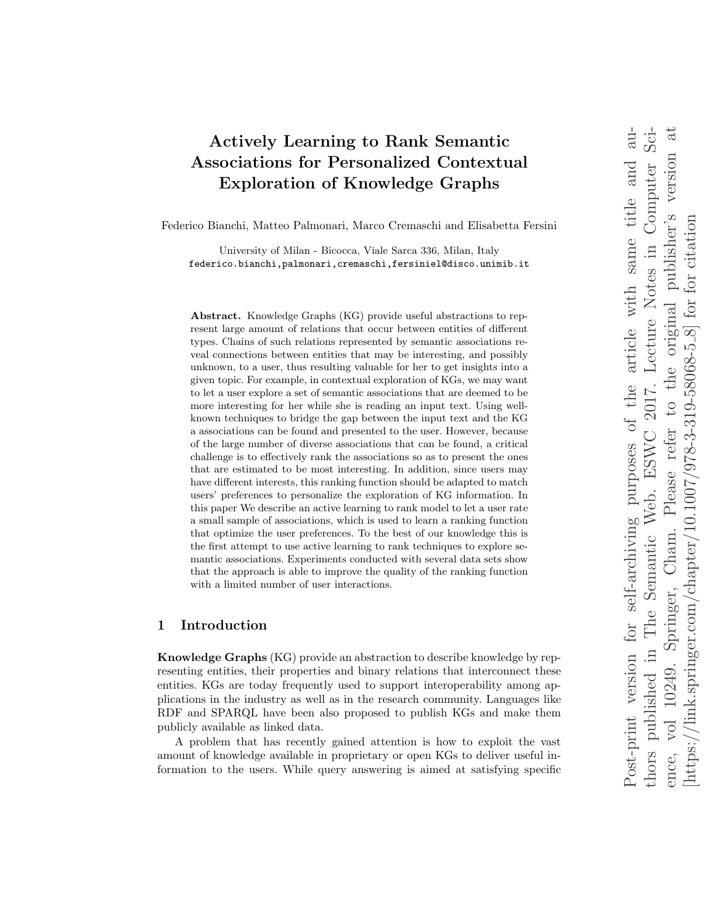# Actively Learning to Rank Semantic Associations for Personalized Contextual Exploration of Knowledge Graphs

Federico Bianchi, Matteo Palmonari, Marco Cremaschi and Elisabetta Fersini

University of Milan - Bicocca, Viale Sarca 336, Milan, Italy federico.bianchi,palmonari,cremaschi,fersiniel@disco.unimib.it

Abstract. Knowledge Graphs (KG) provide useful abstractions to represent large amount of relations that occur between entities of different types. Chains of such relations represented by semantic associations reveal connections between entities that may be interesting, and possibly unknown, to a user, thus resulting valuable for her to get insights into a given topic. For example, in contextual exploration of KGs, we may want to let a user explore a set of semantic associations that are deemed to be more interesting for her while she is reading an input text. Using wellknown techniques to bridge the gap between the input text and the KG a associations can be found and presented to the user. However, because of the large number of diverse associations that can be found, a critical challenge is to effectively rank the associations so as to present the ones that are estimated to be most interesting. In addition, since users may have different interests, this ranking function should be adapted to match users' preferences to personalize the exploration of KG information. In this paper We describe an active learning to rank model to let a user rate a small sample of associations, which is used to learn a ranking function that optimize the user preferences. To the best of our knowledge this is the first attempt to use active learning to rank techniques to explore semantic associations. Experiments conducted with several data sets show that the approach is able to improve the quality of the ranking function with a limited number of user interactions.

# 1 Introduction

Knowledge Graphs (KG) provide an abstraction to describe knowledge by representing entities, their properties and binary relations that interconnect these entities. KGs are today frequently used to support interoperability among applications in the industry as well as in the research community. Languages like RDF and SPARQL have been also proposed to publish KGs and make them publicly available as linked data.

A problem that has recently gained attention is how to exploit the vast amount of knowledge available in proprietary or open KGs to deliver useful information to the users. While query answering is aimed at satisfying specific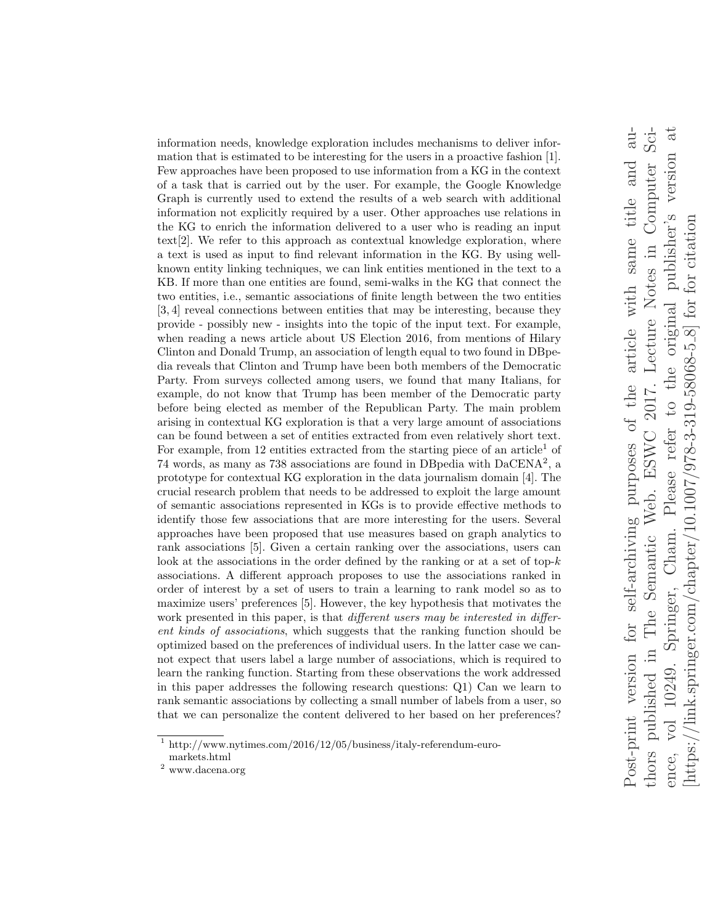information needs, knowledge exploration includes mechanisms to deliver information that is estimated to be interesting for the users in a proactive fashion [1]. Few approaches have been proposed to use information from a KG in the context of a task that is carried out by the user. For example, the Google Knowledge Graph is currently used to extend the results of a web search with additional information not explicitly required by a user. Other approaches use relations in the KG to enrich the information delivered to a user who is reading an input text[2]. We refer to this approach as contextual knowledge exploration, where a text is used as input to find relevant information in the KG. By using wellknown entity linking techniques, we can link entities mentioned in the text to a KB. If more than one entities are found, semi-walks in the KG that connect the two entities, i.e., semantic associations of finite length between the two entities [3, 4] reveal connections between entities that may be interesting, because they provide - possibly new - insights into the topic of the input text. For example, when reading a news article about US Election 2016, from mentions of Hilary Clinton and Donald Trump, an association of length equal to two found in DBpedia reveals that Clinton and Trump have been both members of the Democratic Party. From surveys collected among users, we found that many Italians, for example, do not know that Trump has been member of the Democratic party before being elected as member of the Republican Party. The main problem arising in contextual KG exploration is that a very large amount of associations can be found between a set of entities extracted from even relatively short text. For example, from 12 entities extracted from the starting piece of an article<sup>1</sup> of 74 words, as many as 738 associations are found in DBpedia with DaCENA<sup>2</sup> , a prototype for contextual KG exploration in the data journalism domain [4]. The crucial research problem that needs to be addressed to exploit the large amount of semantic associations represented in KGs is to provide effective methods to identify those few associations that are more interesting for the users. Several approaches have been proposed that use measures based on graph analytics to rank associations [5]. Given a certain ranking over the associations, users can look at the associations in the order defined by the ranking or at a set of top- $k$ associations. A different approach proposes to use the associations ranked in order of interest by a set of users to train a learning to rank model so as to maximize users' preferences [5]. However, the key hypothesis that motivates the work presented in this paper, is that *different users may be interested in differ*ent kinds of associations, which suggests that the ranking function should be optimized based on the preferences of individual users. In the latter case we cannot expect that users label a large number of associations, which is required to learn the ranking function. Starting from these observations the work addressed in this paper addresses the following research questions: Q1) Can we learn to rank semantic associations by collecting a small number of labels from a user, so that we can personalize the content delivered to her based on her preferences?

 $Sci-$ Post-print version for self-archiving purposes of the article with same title and au- $\overline{\text{au}}$ thors published in The Semantic Web. ESWC 2017. Lecture Notes in Computer Science, vol 10249. Springer, Cham. Please refer to the original publisher's version at vol 10249. Springer, Cham. Please refer to the original publisher's version at Web. ESWC 2017. Lecture Notes in Computer Post-print version for self-archiving purposes of the article with same title and [https://link.springer.com/chapter/10.1007/978-3-319-58068-5  $8$ ] for for citation  $\frac{1}{\text{link}}$ .springer.com/chapter $\frac{10.1007}{978-3.319-58068-5.8}$  for for citation The Semantic thors published in  $[https://www.10033]{\label{thm:1000}}$ ence,

 $^{\rm 1}$ http://www.nytimes.com/2016/12/05/business/italy-referendum-euromarkets.html

 $^{\rm 2}$ www.dacena.org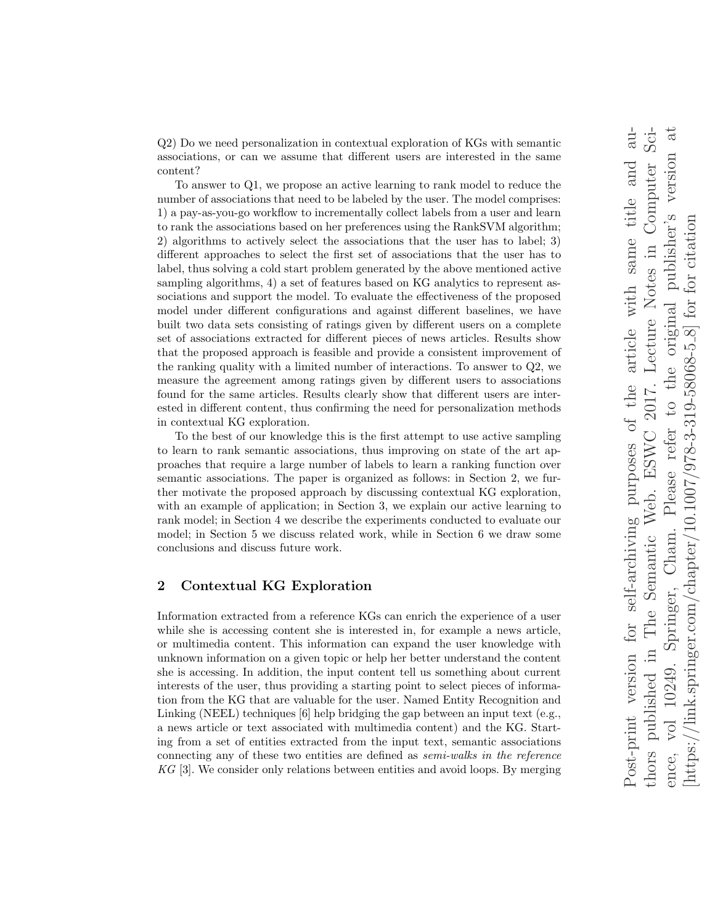Q2) Do we need personalization in contextual exploration of KGs with semantic associations, or can we assume that different users are interested in the same content?

To answer to Q1, we propose an active learning to rank model to reduce the number of associations that need to be labeled by the user. The model comprises: 1) a pay-as-you-go workflow to incrementally collect labels from a user and learn to rank the associations based on her preferences using the RankSVM algorithm; 2) algorithms to actively select the associations that the user has to label; 3) different approaches to select the first set of associations that the user has to label, thus solving a cold start problem generated by the above mentioned active sampling algorithms, 4) a set of features based on KG analytics to represent associations and support the model. To evaluate the effectiveness of the proposed model under different configurations and against different baselines, we have built two data sets consisting of ratings given by different users on a complete set of associations extracted for different pieces of news articles. Results show that the proposed approach is feasible and provide a consistent improvement of the ranking quality with a limited number of interactions. To answer to Q2, we measure the agreement among ratings given by different users to associations found for the same articles. Results clearly show that different users are interested in different content, thus confirming the need for personalization methods in contextual KG exploration.

To the best of our knowledge this is the first attempt to use active sampling to learn to rank semantic associations, thus improving on state of the art approaches that require a large number of labels to learn a ranking function over semantic associations. The paper is organized as follows: in Section 2, we further motivate the proposed approach by discussing contextual KG exploration, with an example of application; in Section 3, we explain our active learning to rank model; in Section 4 we describe the experiments conducted to evaluate our model; in Section 5 we discuss related work, while in Section 6 we draw some conclusions and discuss future work.

# 2 Contextual KG Exploration

Information extracted from a reference KGs can enrich the experience of a user while she is accessing content she is interested in, for example a news article, or multimedia content. This information can expand the user knowledge with unknown information on a given topic or help her better understand the content she is accessing. In addition, the input content tell us something about current interests of the user, thus providing a starting point to select pieces of information from the KG that are valuable for the user. Named Entity Recognition and Linking (NEEL) techniques [6] help bridging the gap between an input text (e.g., a news article or text associated with multimedia content) and the KG. Starting from a set of entities extracted from the input text, semantic associations connecting any of these two entities are defined as semi-walks in the reference KG [3]. We consider only relations between entities and avoid loops. By merging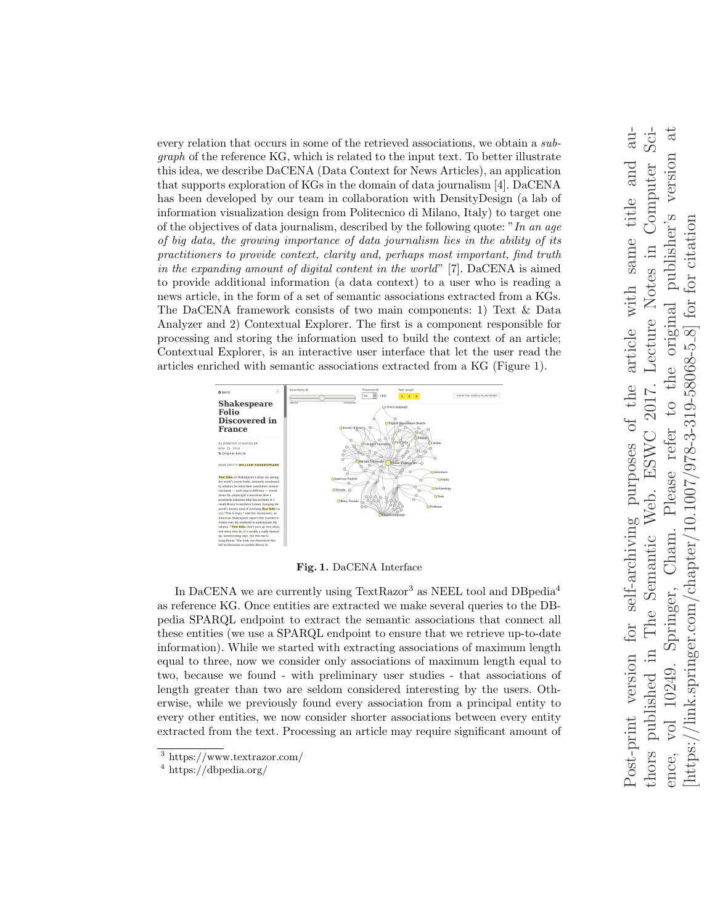every relation that occurs in some of the retrieved associations, we obtain a subgraph of the reference KG, which is related to the input text. To better illustrate this idea, we describe DaCENA (Data Context for News Articles), an application that supports exploration of KGs in the domain of data journalism [4]. DaCENA has been developed by our team in collaboration with DensityDesign (a lab of information visualization design from Politecnico di Milano, Italy) to target one of the objectives of data journalism, described by the following quote: "In an age of big data, the growing importance of data journalism lies in the ability of its practitioners to provide context, clarity and, perhaps most important, find truth in the expanding amount of digital content in the world" [7]. DaCENA is aimed to provide additional information (a data context) to a user who is reading a news article, in the form of a set of semantic associations extracted from a KGs. The DaCENA framework consists of two main components: 1) Text & Data Analyzer and 2) Contextual Explorer. The first is a component responsible for processing and storing the information used to build the context of an article; Contextual Explorer, is an interactive user interface that let the user read the articles enriched with semantic associations extracted from a KG (Figure 1).



Fig. 1. DaCENA Interface

In DaCENA we are currently using TextRazor<sup>3</sup> as NEEL tool and DBpedia<sup>4</sup> as reference KG. Once entities are extracted we make several queries to the DBpedia SPARQL endpoint to extract the semantic associations that connect all these entities (we use a SPARQL endpoint to ensure that we retrieve up-to-date information). While we started with extracting associations of maximum length equal to three, now we consider only associations of maximum length equal to two, because we found - with preliminary user studies - that associations of length greater than two are seldom considered interesting by the users. Otherwise, while we previously found every association from a principal entity to every other entities, we now consider shorter associations between every entity extracted from the text. Processing an article may require significant amount of

<sup>3</sup> https://www.textrazor.com/

<sup>4</sup> https://dbpedia.org/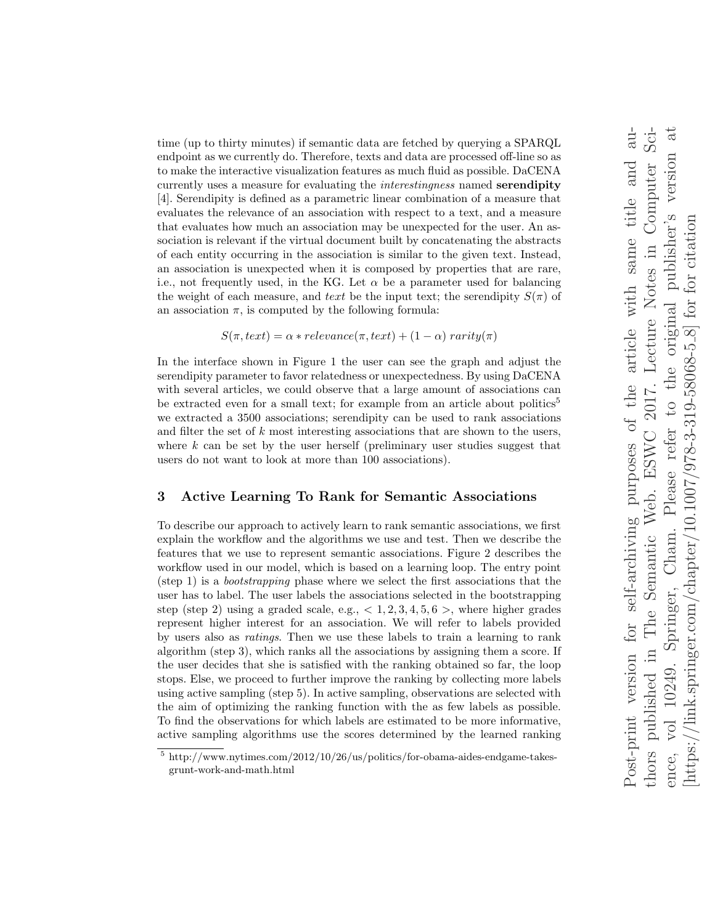time (up to thirty minutes) if semantic data are fetched by querying a SPARQL endpoint as we currently do. Therefore, texts and data are processed off-line so as to make the interactive visualization features as much fluid as possible. DaCENA currently uses a measure for evaluating the *interestingness* named **serendipity** [4]. Serendipity is defined as a parametric linear combination of a measure that evaluates the relevance of an association with respect to a text, and a measure that evaluates how much an association may be unexpected for the user. An association is relevant if the virtual document built by concatenating the abstracts of each entity occurring in the association is similar to the given text. Instead, an association is unexpected when it is composed by properties that are rare, i.e., not frequently used, in the KG. Let  $\alpha$  be a parameter used for balancing the weight of each measure, and text be the input text; the serendipity  $S(\pi)$  of an association  $\pi$ , is computed by the following formula:

$$
S(\pi, text) = \alpha * relevance(\pi, text) + (1 - \alpha) \,rarity(\pi)
$$

In the interface shown in Figure 1 the user can see the graph and adjust the serendipity parameter to favor relatedness or unexpectedness. By using DaCENA with several articles, we could observe that a large amount of associations can be extracted even for a small text; for example from an article about politics<sup>5</sup> we extracted a 3500 associations; serendipity can be used to rank associations and filter the set of  $k$  most interesting associations that are shown to the users, where  $k$  can be set by the user herself (preliminary user studies suggest that users do not want to look at more than 100 associations).

## 3 Active Learning To Rank for Semantic Associations

To describe our approach to actively learn to rank semantic associations, we first explain the workflow and the algorithms we use and test. Then we describe the features that we use to represent semantic associations. Figure 2 describes the workflow used in our model, which is based on a learning loop. The entry point (step 1) is a bootstrapping phase where we select the first associations that the user has to label. The user labels the associations selected in the bootstrapping step (step 2) using a graded scale, e.g.,  $< 1, 2, 3, 4, 5, 6$  >, where higher grades represent higher interest for an association. We will refer to labels provided by users also as ratings. Then we use these labels to train a learning to rank algorithm (step 3), which ranks all the associations by assigning them a score. If the user decides that she is satisfied with the ranking obtained so far, the loop stops. Else, we proceed to further improve the ranking by collecting more labels using active sampling (step 5). In active sampling, observations are selected with the aim of optimizing the ranking function with the as few labels as possible. To find the observations for which labels are estimated to be more informative, active sampling algorithms use the scores determined by the learned ranking

 $5$  http://www.nytimes.com/2012/10/26/us/politics/for-obama-aides-endgame-takesgrunt-work-and-math.html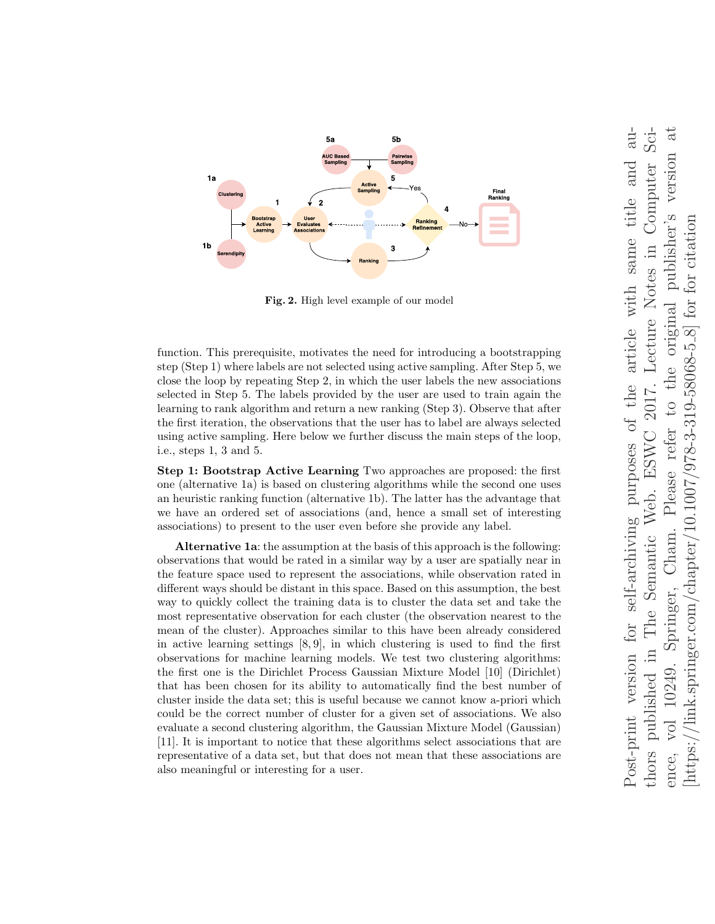

Fig. 2. High level example of our model

function. This prerequisite, motivates the need for introducing a bootstrapping step (Step 1) where labels are not selected using active sampling. After Step 5, we close the loop by repeating Step 2, in which the user labels the new associations selected in Step 5. The labels provided by the user are used to train again the learning to rank algorithm and return a new ranking (Step 3). Observe that after the first iteration, the observations that the user has to label are always selected using active sampling. Here below we further discuss the main steps of the loop, i.e., steps 1, 3 and 5.

Step 1: Bootstrap Active Learning Two approaches are proposed: the first one (alternative 1a) is based on clustering algorithms while the second one uses an heuristic ranking function (alternative 1b). The latter has the advantage that we have an ordered set of associations (and, hence a small set of interesting associations) to present to the user even before she provide any label.

Alternative 1a: the assumption at the basis of this approach is the following: observations that would be rated in a similar way by a user are spatially near in the feature space used to represent the associations, while observation rated in different ways should be distant in this space. Based on this assumption, the best way to quickly collect the training data is to cluster the data set and take the most representative observation for each cluster (the observation nearest to the mean of the cluster). Approaches similar to this have been already considered in active learning settings  $[8, 9]$ , in which clustering is used to find the first observations for machine learning models. We test two clustering algorithms: the first one is the Dirichlet Process Gaussian Mixture Model [10] (Dirichlet) that has been chosen for its ability to automatically find the best number of cluster inside the data set; this is useful because we cannot know a-priori which could be the correct number of cluster for a given set of associations. We also evaluate a second clustering algorithm, the Gaussian Mixture Model (Gaussian) [11]. It is important to notice that these algorithms select associations that are representative of a data set, but that does not mean that these associations are also meaningful or interesting for a user.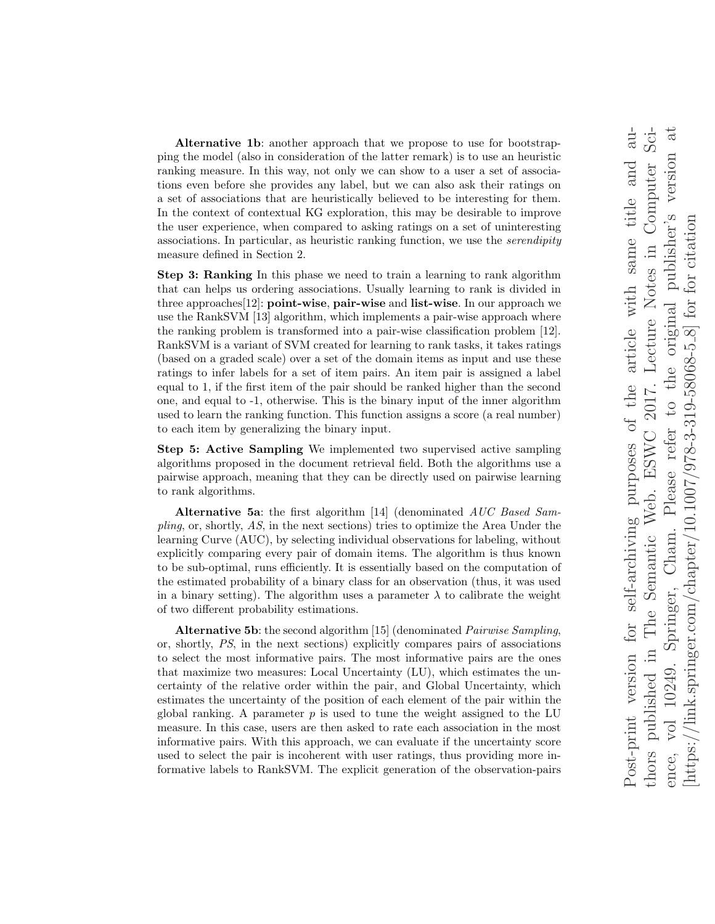Alternative 1b: another approach that we propose to use for bootstrapping the model (also in consideration of the latter remark) is to use an heuristic ranking measure. In this way, not only we can show to a user a set of associations even before she provides any label, but we can also ask their ratings on a set of associations that are heuristically believed to be interesting for them. In the context of contextual KG exploration, this may be desirable to improve the user experience, when compared to asking ratings on a set of uninteresting associations. In particular, as heuristic ranking function, we use the serendipity measure defined in Section 2.

Step 3: Ranking In this phase we need to train a learning to rank algorithm that can helps us ordering associations. Usually learning to rank is divided in three approaches[12]: point-wise, pair-wise and list-wise. In our approach we use the RankSVM [13] algorithm, which implements a pair-wise approach where the ranking problem is transformed into a pair-wise classification problem [12]. RankSVM is a variant of SVM created for learning to rank tasks, it takes ratings (based on a graded scale) over a set of the domain items as input and use these ratings to infer labels for a set of item pairs. An item pair is assigned a label equal to 1, if the first item of the pair should be ranked higher than the second one, and equal to -1, otherwise. This is the binary input of the inner algorithm used to learn the ranking function. This function assigns a score (a real number) to each item by generalizing the binary input.

Step 5: Active Sampling We implemented two supervised active sampling algorithms proposed in the document retrieval field. Both the algorithms use a pairwise approach, meaning that they can be directly used on pairwise learning to rank algorithms.

Alternative 5a: the first algorithm [14] (denominated AUC Based Sampling, or, shortly, AS, in the next sections) tries to optimize the Area Under the learning Curve (AUC), by selecting individual observations for labeling, without explicitly comparing every pair of domain items. The algorithm is thus known to be sub-optimal, runs efficiently. It is essentially based on the computation of the estimated probability of a binary class for an observation (thus, it was used in a binary setting). The algorithm uses a parameter  $\lambda$  to calibrate the weight of two different probability estimations.

Alternative 5b: the second algorithm [15] (denominated Pairwise Sampling, or, shortly, PS, in the next sections) explicitly compares pairs of associations to select the most informative pairs. The most informative pairs are the ones that maximize two measures: Local Uncertainty (LU), which estimates the uncertainty of the relative order within the pair, and Global Uncertainty, which estimates the uncertainty of the position of each element of the pair within the global ranking. A parameter  $p$  is used to tune the weight assigned to the LU measure. In this case, users are then asked to rate each association in the most informative pairs. With this approach, we can evaluate if the uncertainty score used to select the pair is incoherent with user ratings, thus providing more informative labels to RankSVM. The explicit generation of the observation-pairs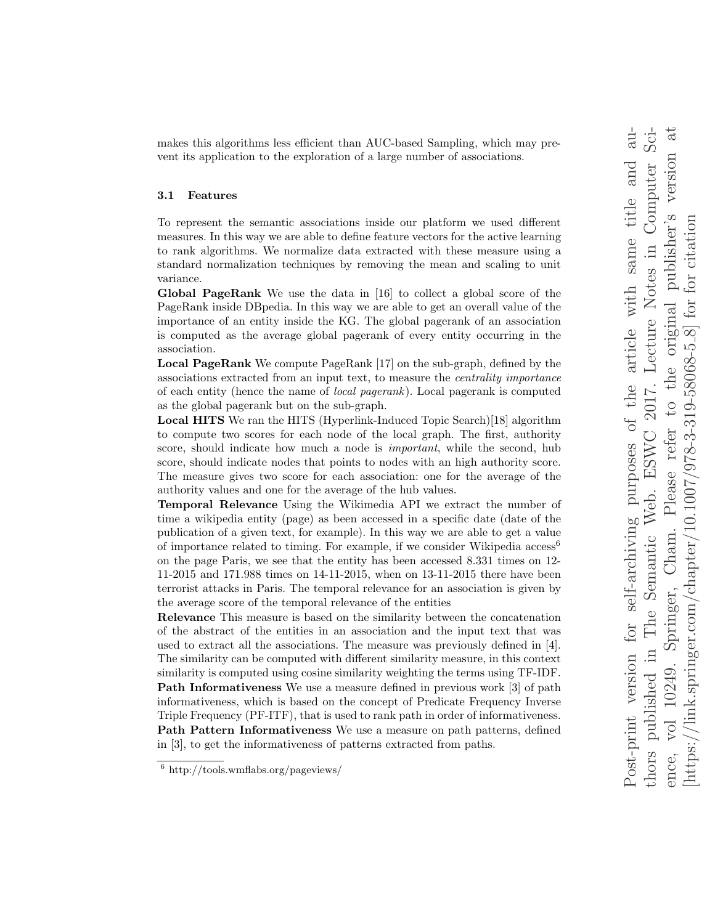makes this algorithms less efficient than AUC-based Sampling, which may prevent its application to the exploration of a large number of associations.

#### 3.1 Features

To represent the semantic associations inside our platform we used different measures. In this way we are able to define feature vectors for the active learning to rank algorithms. We normalize data extracted with these measure using a standard normalization techniques by removing the mean and scaling to unit variance.

Global PageRank We use the data in [16] to collect a global score of the PageRank inside DBpedia. In this way we are able to get an overall value of the importance of an entity inside the KG. The global pagerank of an association is computed as the average global pagerank of every entity occurring in the association.

Local PageRank We compute PageRank [17] on the sub-graph, defined by the associations extracted from an input text, to measure the centrality importance of each entity (hence the name of local pagerank). Local pagerank is computed as the global pagerank but on the sub-graph.

Local HITS We ran the HITS (Hyperlink-Induced Topic Search)[18] algorithm to compute two scores for each node of the local graph. The first, authority score, should indicate how much a node is *important*, while the second, hub score, should indicate nodes that points to nodes with an high authority score. The measure gives two score for each association: one for the average of the authority values and one for the average of the hub values.

Temporal Relevance Using the Wikimedia API we extract the number of time a wikipedia entity (page) as been accessed in a specific date (date of the publication of a given text, for example). In this way we are able to get a value of importance related to timing. For example, if we consider Wikipedia  $\arccos 6$ on the page Paris, we see that the entity has been accessed 8.331 times on 12- 11-2015 and 171.988 times on 14-11-2015, when on 13-11-2015 there have been terrorist attacks in Paris. The temporal relevance for an association is given by the average score of the temporal relevance of the entities

Relevance This measure is based on the similarity between the concatenation of the abstract of the entities in an association and the input text that was used to extract all the associations. The measure was previously defined in [4]. The similarity can be computed with different similarity measure, in this context similarity is computed using cosine similarity weighting the terms using TF-IDF. Path Informativeness We use a measure defined in previous work [3] of path informativeness, which is based on the concept of Predicate Frequency Inverse Triple Frequency (PF-ITF), that is used to rank path in order of informativeness. Path Pattern Informativeness We use a measure on path patterns, defined in [3], to get the informativeness of patterns extracted from paths.

<sup>6</sup> http://tools.wmflabs.org/pageviews/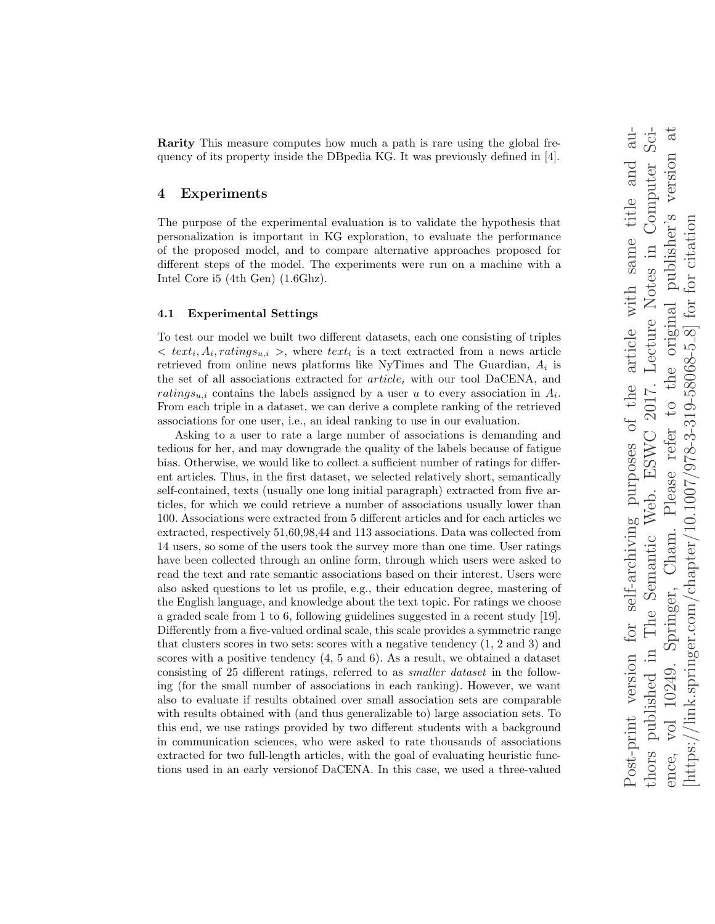Rarity This measure computes how much a path is rare using the global frequency of its property inside the DBpedia KG. It was previously defined in [4].

### 4 Experiments

The purpose of the experimental evaluation is to validate the hypothesis that personalization is important in KG exploration, to evaluate the performance of the proposed model, and to compare alternative approaches proposed for different steps of the model. The experiments were run on a machine with a Intel Core i5 (4th Gen) (1.6Ghz).

#### 4.1 Experimental Settings

To test our model we built two different datasets, each one consisting of triples  $\langle \text{text}_i, A_i, \text{rating}_{{s_{u,i}}} \rangle$ , where  $text_i$  is a text extracted from a news article retrieved from online news platforms like NyTimes and The Guardian,  $A_i$  is the set of all associations extracted for  $article<sub>i</sub>$  with our tool DaCENA, and ratings<sub>u,i</sub> contains the labels assigned by a user u to every association in  $A_i$ . From each triple in a dataset, we can derive a complete ranking of the retrieved associations for one user, i.e., an ideal ranking to use in our evaluation.

Asking to a user to rate a large number of associations is demanding and tedious for her, and may downgrade the quality of the labels because of fatigue bias. Otherwise, we would like to collect a sufficient number of ratings for different articles. Thus, in the first dataset, we selected relatively short, semantically self-contained, texts (usually one long initial paragraph) extracted from five articles, for which we could retrieve a number of associations usually lower than 100. Associations were extracted from 5 different articles and for each articles we extracted, respectively 51,60,98,44 and 113 associations. Data was collected from 14 users, so some of the users took the survey more than one time. User ratings have been collected through an online form, through which users were asked to read the text and rate semantic associations based on their interest. Users were also asked questions to let us profile, e.g., their education degree, mastering of the English language, and knowledge about the text topic. For ratings we choose a graded scale from 1 to 6, following guidelines suggested in a recent study [19]. Differently from a five-valued ordinal scale, this scale provides a symmetric range that clusters scores in two sets: scores with a negative tendency (1, 2 and 3) and scores with a positive tendency (4, 5 and 6). As a result, we obtained a dataset consisting of 25 different ratings, referred to as smaller dataset in the following (for the small number of associations in each ranking). However, we want also to evaluate if results obtained over small association sets are comparable with results obtained with (and thus generalizable to) large association sets. To this end, we use ratings provided by two different students with a background in communication sciences, who were asked to rate thousands of associations extracted for two full-length articles, with the goal of evaluating heuristic functions used in an early versionof DaCENA. In this case, we used a three-valued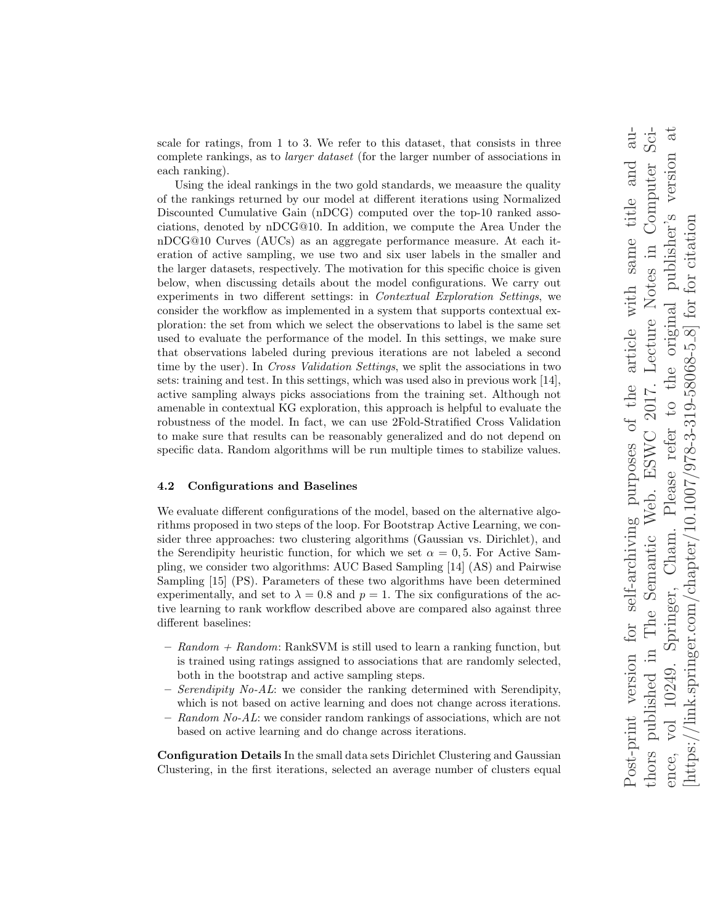scale for ratings, from 1 to 3. We refer to this dataset, that consists in three complete rankings, as to larger dataset (for the larger number of associations in each ranking).

Using the ideal rankings in the two gold standards, we meaasure the quality of the rankings returned by our model at different iterations using Normalized Discounted Cumulative Gain (nDCG) computed over the top-10 ranked associations, denoted by nDCG@10. In addition, we compute the Area Under the nDCG@10 Curves (AUCs) as an aggregate performance measure. At each iteration of active sampling, we use two and six user labels in the smaller and the larger datasets, respectively. The motivation for this specific choice is given below, when discussing details about the model configurations. We carry out experiments in two different settings: in Contextual Exploration Settings, we consider the workflow as implemented in a system that supports contextual exploration: the set from which we select the observations to label is the same set used to evaluate the performance of the model. In this settings, we make sure that observations labeled during previous iterations are not labeled a second time by the user). In Cross Validation Settings, we split the associations in two sets: training and test. In this settings, which was used also in previous work [14], active sampling always picks associations from the training set. Although not amenable in contextual KG exploration, this approach is helpful to evaluate the robustness of the model. In fact, we can use 2Fold-Stratified Cross Validation to make sure that results can be reasonably generalized and do not depend on specific data. Random algorithms will be run multiple times to stabilize values.

#### 4.2 Configurations and Baselines

We evaluate different configurations of the model, based on the alternative algorithms proposed in two steps of the loop. For Bootstrap Active Learning, we consider three approaches: two clustering algorithms (Gaussian vs. Dirichlet), and the Serendipity heuristic function, for which we set  $\alpha = 0, 5$ . For Active Sampling, we consider two algorithms: AUC Based Sampling [14] (AS) and Pairwise Sampling [15] (PS). Parameters of these two algorithms have been determined experimentally, and set to  $\lambda = 0.8$  and  $p = 1$ . The six configurations of the active learning to rank workflow described above are compared also against three different baselines:

- $-$  Random  $+$  Random: RankSVM is still used to learn a ranking function, but is trained using ratings assigned to associations that are randomly selected, both in the bootstrap and active sampling steps.
- $-$  Serendipity No-AL: we consider the ranking determined with Serendipity, which is not based on active learning and does not change across iterations.
- $-$  Random No-AL: we consider random rankings of associations, which are not based on active learning and do change across iterations.

Configuration Details In the small data sets Dirichlet Clustering and Gaussian Clustering, in the first iterations, selected an average number of clusters equal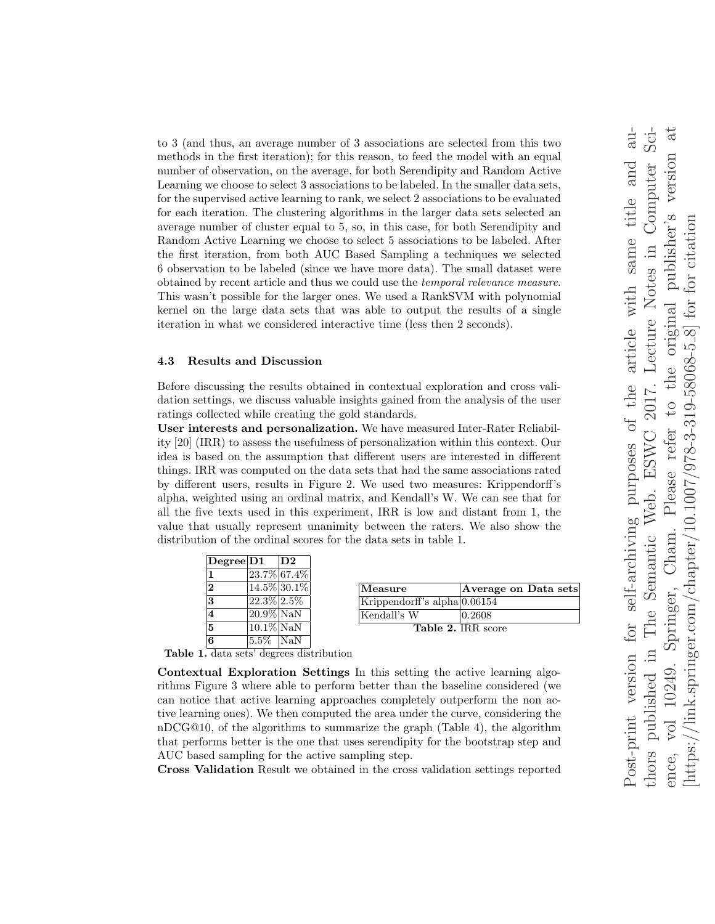to 3 (and thus, an average number of 3 associations are selected from this two methods in the first iteration); for this reason, to feed the model with an equal number of observation, on the average, for both Serendipity and Random Active Learning we choose to select 3 associations to be labeled. In the smaller data sets, for the supervised active learning to rank, we select 2 associations to be evaluated for each iteration. The clustering algorithms in the larger data sets selected an average number of cluster equal to 5, so, in this case, for both Serendipity and Random Active Learning we choose to select 5 associations to be labeled. After the first iteration, from both AUC Based Sampling a techniques we selected 6 observation to be labeled (since we have more data). The small dataset were obtained by recent article and thus we could use the temporal relevance measure. This wasn't possible for the larger ones. We used a RankSVM with polynomial kernel on the large data sets that was able to output the results of a single iteration in what we considered interactive time (less then 2 seconds).

#### 4.3 Results and Discussion

Before discussing the results obtained in contextual exploration and cross validation settings, we discuss valuable insights gained from the analysis of the user ratings collected while creating the gold standards.

User interests and personalization. We have measured Inter-Rater Reliability [20] (IRR) to assess the usefulness of personalization within this context. Our idea is based on the assumption that different users are interested in different things. IRR was computed on the data sets that had the same associations rated by different users, results in Figure 2. We used two measures: Krippendorff's alpha, weighted using an ordinal matrix, and Kendall's W. We can see that for all the five texts used in this experiment, IRR is low and distant from 1, the value that usually represent unanimity between the raters. We also show the distribution of the ordinal scores for the data sets in table 1.

| Degree D1               |                             | $\mathbf{D2}$ |
|-------------------------|-----------------------------|---------------|
| 1                       | 23.7% 67.4%                 |               |
| $\mathbf{2}$            | $ 14.5\% 30.1\%$            |               |
| 3                       | $\sqrt{22.3\% \cdot 2.5\%}$ |               |
| $\overline{\mathbf{4}}$ | $20.9\%$ NaN                |               |
| 5                       | $10.1\%$ NaN                |               |
| 6                       | 5.5%  NaN                   |               |

| Measure                         | Average on Data sets |  |  |
|---------------------------------|----------------------|--|--|
| Krippendorff's alpha $ 0.06154$ |                      |  |  |
| Kendall's W                     | $ 0.2608\rangle$     |  |  |
| <b>Table 2. IRR</b> score       |                      |  |  |

Table 1. data sets' degrees distribution

Contextual Exploration Settings In this setting the active learning algorithms Figure 3 where able to perform better than the baseline considered (we can notice that active learning approaches completely outperform the non active learning ones). We then computed the area under the curve, considering the nDCG@10, of the algorithms to summarize the graph (Table 4), the algorithm that performs better is the one that uses serendipity for the bootstrap step and AUC based sampling for the active sampling step.

Cross Validation Result we obtained in the cross validation settings reported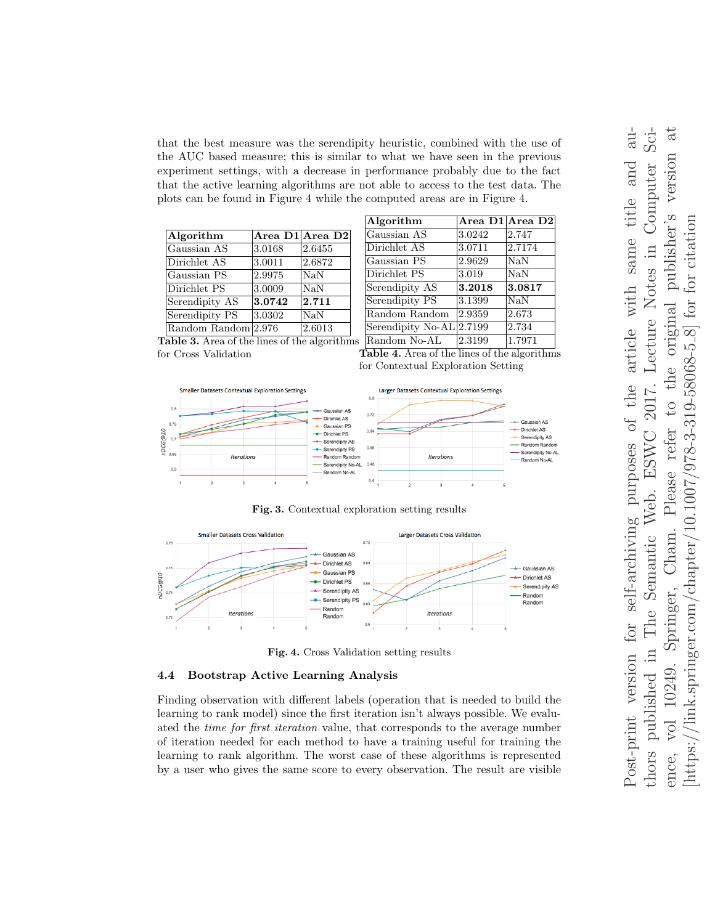that the best measure was the serendipity heuristic, combined with the use of the AUC based measure; this is similar to what we have seen in the previous experiment settings, with a decrease in performance probably due to the fact that the active learning algorithms are not able to access to the test data. The plots can be found in Figure 4 while the computed areas are in Figure 4.

| Algorithm           |        | Area D1 Area D2 |
|---------------------|--------|-----------------|
| Gaussian AS         | 3.0168 | 2.6455          |
| Dirichlet AS        | 3.0011 | 2.6872          |
| Gaussian PS         | 2.9975 | <b>NaN</b>      |
| Dirichlet PS        | 3.0009 | <b>NaN</b>      |
| Serendipity AS      | 3.0742 | 2.711           |
| Serendipity PS      | 3.0302 | <b>NaN</b>      |
| Random Random 2.976 |        | 2.6013          |

| Algorithm                |        | Area D1 Area D2 |
|--------------------------|--------|-----------------|
| Gaussian AS              | 3.0242 | 2.747           |
| Dirichlet AS             | 3.0711 | 2.7174          |
| Gaussian PS              | 2.9629 | <b>NaN</b>      |
| Dirichlet PS             | 3.019  | NaN             |
| Serendipity AS           | 3.2018 | 3.0817          |
| Serendipity PS           | 3.1399 | $\text{Na}$     |
| Random Random            | 2.9359 | 2.673           |
| Serendipity No-AL 2.7199 |        | 2.734           |
| Random No-AL             | 2.3199 | 1.7971          |

Table 3. Area of the lines of the algorithms for Cross Validation

Table 4. Area of the lines of the algorithms for Contextual Exploration Setting



Fig. 3. Contextual exploration setting results



Fig. 4. Cross Validation setting results

#### 4.4 Bootstrap Active Learning Analysis

Finding observation with different labels (operation that is needed to build the learning to rank model) since the first iteration isn't always possible. We evaluated the time for first iteration value, that corresponds to the average number of iteration needed for each method to have a training useful for training the learning to rank algorithm. The worst case of these algorithms is represented by a user who gives the same score to every observation. The result are visible

 $Sci$  $d-$ Post-print version for self-archiving purposes of the article with same title and authors published in The Semantic Web. ESWC 2017. Lecture Notes in Computer Science, vol 10249. Springer, Cham. Please refer to the original publisher's version at  $\ddot{a}$ to the original publisher's version Computer article with same title and [https://link.springer.com/chapter/10.1007/978-3-319-58068-5  $8$ ] for for citation  $\frac{1}{\ln k}$ .springer.com/chapter/10.1007/978-3-319-58068-5-8] for for citation Notes in Lecture 2017. for self-archiving purposes of the Please refer ESWC Web. Cham. Semantic Springer, The  $\overline{\mathbf{u}}$ Post-print version 10249. published  $\sqrt{10}$ https:/ thors ence,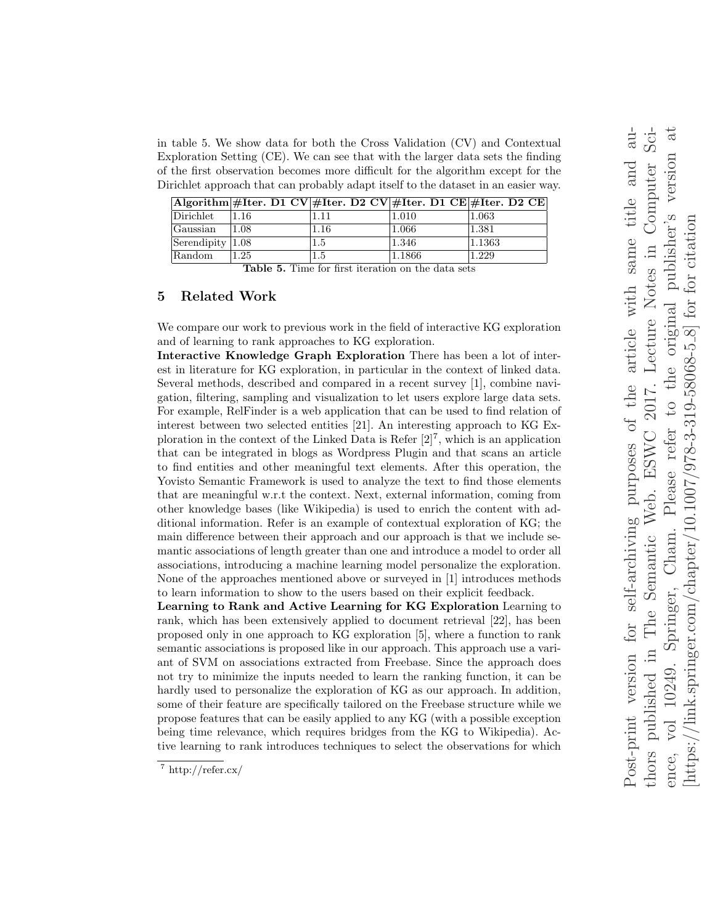in table 5. We show data for both the Cross Validation (CV) and Contextual Exploration Setting (CE). We can see that with the larger data sets the finding of the first observation becomes more difficult for the algorithm except for the Dirichlet approach that can probably adapt itself to the dataset in an easier way.

|                                          | $ \text{Algorithm} \# \text{Iter. D1 CV} \# \text{Iter. D2 CV} \# \text{Iter. D1 CE} \# \text{Iter. D2 CE} $ |          |        |        |
|------------------------------------------|--------------------------------------------------------------------------------------------------------------|----------|--------|--------|
| Dirichlet                                | 1.16                                                                                                         | .11      | 1.010  | 1.063  |
| Gaussian                                 | 1.08                                                                                                         | $1.16\,$ | 1.066  | 1.381  |
| $\left  \text{Serendipity} \right  1.08$ |                                                                                                              | 1.5      | 1.346  | 1.1363 |
| Random                                   | 1.25                                                                                                         | 1.5      | 1.1866 | 1.229  |

Table 5. Time for first iteration on the data sets

## 5 Related Work

We compare our work to previous work in the field of interactive KG exploration and of learning to rank approaches to KG exploration.

Interactive Knowledge Graph Exploration There has been a lot of interest in literature for KG exploration, in particular in the context of linked data. Several methods, described and compared in a recent survey [1], combine navigation, filtering, sampling and visualization to let users explore large data sets. For example, RelFinder is a web application that can be used to find relation of interest between two selected entities [21]. An interesting approach to KG Exploration in the context of the Linked Data is Refer  $[2]^7$ , which is an application that can be integrated in blogs as Wordpress Plugin and that scans an article to find entities and other meaningful text elements. After this operation, the Yovisto Semantic Framework is used to analyze the text to find those elements that are meaningful w.r.t the context. Next, external information, coming from other knowledge bases (like Wikipedia) is used to enrich the content with additional information. Refer is an example of contextual exploration of KG; the main difference between their approach and our approach is that we include semantic associations of length greater than one and introduce a model to order all associations, introducing a machine learning model personalize the exploration. None of the approaches mentioned above or surveyed in [1] introduces methods to learn information to show to the users based on their explicit feedback.

Learning to Rank and Active Learning for KG Exploration Learning to rank, which has been extensively applied to document retrieval [22], has been proposed only in one approach to KG exploration [5], where a function to rank semantic associations is proposed like in our approach. This approach use a variant of SVM on associations extracted from Freebase. Since the approach does not try to minimize the inputs needed to learn the ranking function, it can be hardly used to personalize the exploration of KG as our approach. In addition, some of their feature are specifically tailored on the Freebase structure while we propose features that can be easily applied to any KG (with a possible exception being time relevance, which requires bridges from the KG to Wikipedia). Active learning to rank introduces techniques to select the observations for which

 $\frac{7}{7}$  http://refer.cx/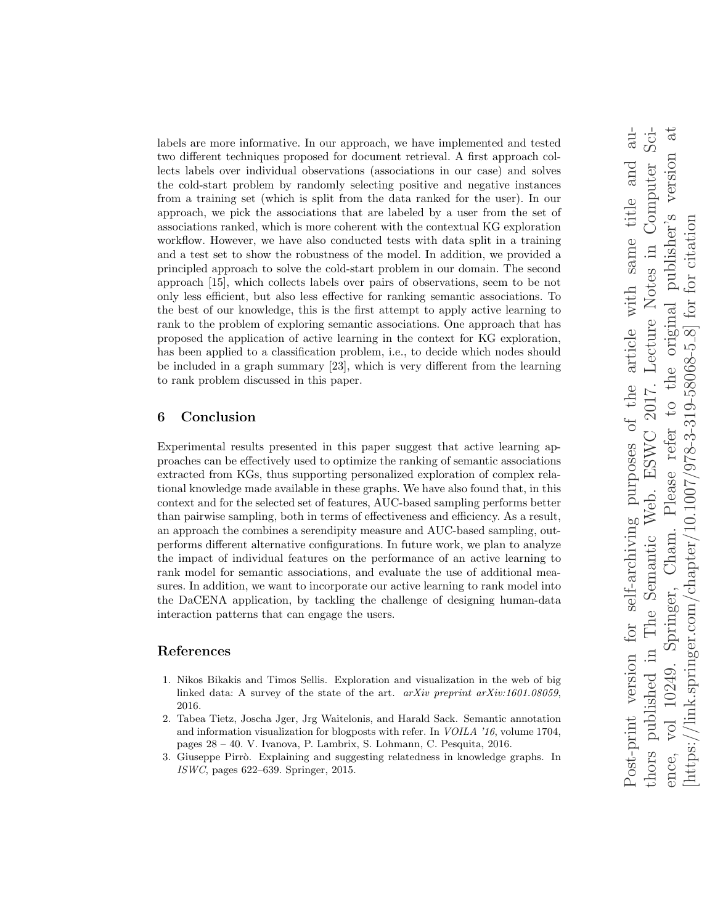labels are more informative. In our approach, we have implemented and tested two different techniques proposed for document retrieval. A first approach collects labels over individual observations (associations in our case) and solves the cold-start problem by randomly selecting positive and negative instances from a training set (which is split from the data ranked for the user). In our approach, we pick the associations that are labeled by a user from the set of associations ranked, which is more coherent with the contextual KG exploration workflow. However, we have also conducted tests with data split in a training and a test set to show the robustness of the model. In addition, we provided a principled approach to solve the cold-start problem in our domain. The second approach [15], which collects labels over pairs of observations, seem to be not only less efficient, but also less effective for ranking semantic associations. To the best of our knowledge, this is the first attempt to apply active learning to rank to the problem of exploring semantic associations. One approach that has proposed the application of active learning in the context for KG exploration, has been applied to a classification problem, i.e., to decide which nodes should be included in a graph summary [23], which is very different from the learning to rank problem discussed in this paper.

# 6 Conclusion

Experimental results presented in this paper suggest that active learning approaches can be effectively used to optimize the ranking of semantic associations extracted from KGs, thus supporting personalized exploration of complex relational knowledge made available in these graphs. We have also found that, in this context and for the selected set of features, AUC-based sampling performs better than pairwise sampling, both in terms of effectiveness and efficiency. As a result, an approach the combines a serendipity measure and AUC-based sampling, outperforms different alternative configurations. In future work, we plan to analyze the impact of individual features on the performance of an active learning to rank model for semantic associations, and evaluate the use of additional measures. In addition, we want to incorporate our active learning to rank model into the DaCENA application, by tackling the challenge of designing human-data interaction patterns that can engage the users.

## References

- 1. Nikos Bikakis and Timos Sellis. Exploration and visualization in the web of big linked data: A survey of the state of the art. arXiv preprint arXiv:1601.08059, 2016.
- 2. Tabea Tietz, Joscha Jger, Jrg Waitelonis, and Harald Sack. Semantic annotation and information visualization for blogposts with refer. In VOILA '16, volume 1704, pages 28 – 40. V. Ivanova, P. Lambrix, S. Lohmann, C. Pesquita, 2016.
- 3. Giuseppe Pirrò. Explaining and suggesting relatedness in knowledge graphs. In ISWC, pages 622–639. Springer, 2015.